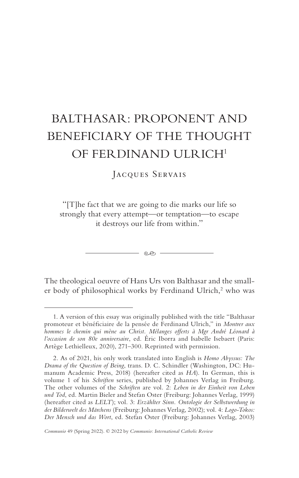# BALTHASAR: PROPONENT AND BENEFICIARY OF THE THOUGHT OF FERDINAND ULRICH1

Jacques Servais

"[T]he fact that we are going to die marks our life so strongly that every attempt—or temptation—to escape it destroys our life from within."

The theological oeuvre of Hans Urs von Balthasar and the smaller body of philosophical works by Ferdinand Ulrich,<sup>2</sup> who was

 $\infty$  -

<sup>1.</sup> A version of this essay was originally published with the title "Balthasar promoteur et bénéficiaire de la pensée de Ferdinand Ulrich," in *Montrer aux hommes le chemin qui mène au Christ. Mélanges offerts à Mgr André Léonard à l'occasion de son 80e anniversaire*, ed. Éric Iborra and Isabelle Isebaert (Paris: Artège Lethielleux, 2020), 271–300. Reprinted with permission.

<sup>2.</sup> As of 2021, his only work translated into English is *Homo Abyssus: The Drama of the Question of Being*, trans. D. C. Schindler (Washington, DC: Humanum Academic Press, 2018) (hereafter cited as *HA*). In German, this is volume 1 of his *Schriften* series, published by Johannes Verlag in Freiburg. The other volumes of the *Schriften* are vol. 2: *Leben in der Einheit von Leben und Tod*, ed. Martin Bieler and Stefan Oster (Freiburg: Johannes Verlag, 1999) (hereafter cited as *LELT*); vol. 3: *Erzählter Sinn. Ontologie der Selbstwerdung in der Bilderwelt des Märchens* (Freiburg: Johannes Verlag, 2002); vol. 4: *Logo-Tokos: Der Mensch und das Wort*, ed. Stefan Oster (Freiburg: Johannes Verlag, 2003)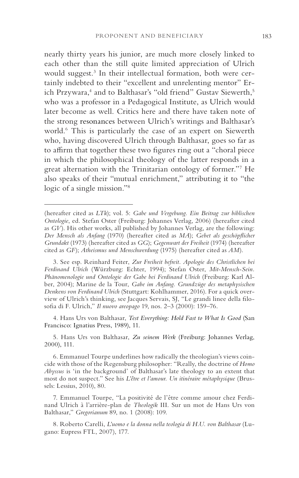nearly thirty years his junior, are much more closely linked to each other than the still quite limited appreciation of Ulrich would suggest.<sup>3</sup> In their intellectual formation, both were certainly indebted to their "excellent and unrelenting mentor" Erich Przywara,<sup>4</sup> and to Balthasar's "old friend" Gustav Siewerth,<sup>5</sup> who was a professor in a Pedagogical Institute, as Ulrich would later become as well. Critics here and there have taken note of the strong resonances between Ulrich's writings and Balthasar's world.6 This is particularly the case of an expert on Siewerth who, having discovered Ulrich through Balthasar, goes so far as to affirm that together these two figures ring out a "choral piece in which the philosophical theology of the latter responds in a great alternation with the Trinitarian ontology of former."7 He also speaks of their "mutual enrichment," attributing it to "the logic of a single mission."8

4. Hans Urs von Balthasar, *Test Everything: Hold Fast to What Is Good* (San Francisco: Ignatius Press, 1989), 11.

5. Hans Urs von Balthasar, *Zu seinem Werk* (Freiburg: Johannes Verlag, 2000), 111.

6. Emmanuel Tourpe underlines how radically the theologian's views coincide with those of the Regensburg philosopher: "Really, the doctrine of *Homo Abyssus* is 'in the background' of Balthasar's late theology to an extent that most do not suspect." See his *L'être et l'amour. Un itinéraire métaphysique* (Brussels: Lessius, 2010), 80.

7. Emmanuel Tourpe, "La positivité de l'être comme amour chez Ferdinand Ulrich à l'arrière-plan de *Theologik* III. Sur un mot de Hans Urs von Balthasar," *Gregorianum* 89, no. 1 (2008): 109.

8. Roberto Carelli, *L'uomo e la donna nella teologia di H.U. von Balthasar* (Lugano: Eupress FTL, 2007), 177.

<sup>(</sup>hereafter cited as *LTk*); vol. 5: *Gabe und Vergebung. Ein Beitrag zur biblischen Ontologie*, ed. Stefan Oster (Freiburg: Johannes Verlag, 2006) (hereafter cited as *GV*). His other works, all published by Johannes Verlag, are the following: *Der Mensch als Anfang* (1970) (hereafter cited as *MA*); *Gebet als geschöpflicher Grundakt* (1973) (hereafter cited as *GG*); *Gegenwart der Freiheit* (1974) (hereafter cited as *GF*); *Atheismus und Menschwerdung* (1975) (hereafter cited as *AM*).

<sup>3.</sup> See esp. Reinhard Feiter, *Zur Freiheit befreit. Apologie des Christlichen bei Ferdinand Ulrich* (Würzburg: Echter, 1994); Stefan Oster, *Mit-Mensch-Sein. Phänomenologie und Ontologie der Gabe bei Ferdinand Ulrich* (Freiburg: Karl Alber, 2004); Marine de la Tour, *Gabe im Anfang. Grundzüge des metaphysischen Denkens von Ferdinand Ulrich* (Stuttgart: Kohlhammer, 2016). For a quick overview of Ulrich's thinking, see Jacques Servais, SJ, "Le grandi linee della filosofia di F. Ulrich," *Il nuovo areopago* 19, nos. 2–3 (2000): 159–76.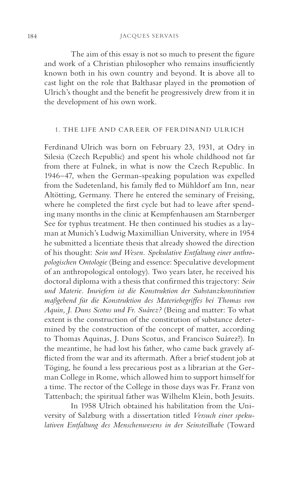184 JACQUES SERVAIS

The aim of this essay is not so much to present the figure and work of a Christian philosopher who remains insufficiently known both in his own country and beyond. It is above all to cast light on the role that Balthasar played in the promotion of Ulrich's thought and the benefit he progressively drew from it in the development of his own work.

# 1. THE LIFE AND CAREER OF FERDINAND ULRICH

Ferdinand Ulrich was born on February 23, 1931, at Odry in Silesia (Czech Republic) and spent his whole childhood not far from there at Fulnek, in what is now the Czech Republic. In 1946–47, when the German-speaking population was expelled from the Sudetenland, his family fled to Mühldorf am Inn, near Altötting, Germany. There he entered the seminary of Freising, where he completed the first cycle but had to leave after spending many months in the clinic at Kempfenhausen am Starnberger See for typhus treatment. He then continued his studies as a layman at Munich's Ludwig Maximillian University, where in 1954 he submitted a licentiate thesis that already showed the direction of his thought: *Sein und Wesen. Spekulative Entfaltung einer anthropologischen Ontologie* (Being and essence: Speculative development of an anthropological ontology). Two years later, he received his doctoral diploma with a thesis that confirmed this trajectory: *Sein und Materie. Inwiefern ist die Konstruktion der Substanzkonstitution maßgebend für die Konstruktion des Materiebegriffes bei Thomas von Aquin, J. Duns Scotus und Fr. Suárez?* (Being and matter: To what extent is the construction of the constitution of substance determined by the construction of the concept of matter, according to Thomas Aquinas, J. Duns Scotus, and Francisco Suárez?). In the meantime, he had lost his father, who came back gravely afflicted from the war and its aftermath. After a brief student job at Töging, he found a less precarious post as a librarian at the German College in Rome, which allowed him to support himself for a time. The rector of the College in those days was Fr. Franz von Tattenbach; the spiritual father was Wilhelm Klein, both Jesuits.

In 1958 Ulrich obtained his habilitation from the University of Salzburg with a dissertation titled *Versuch einer spekulativen Entfaltung des Menschenwesens in der Seinsteilhabe* (Toward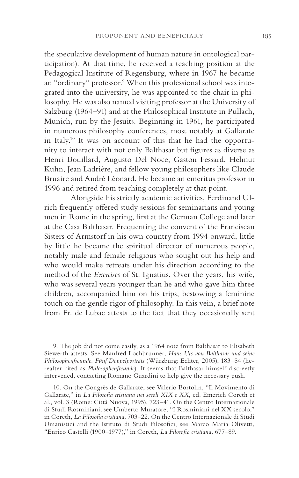the speculative development of human nature in ontological participation). At that time, he received a teaching position at the Pedagogical Institute of Regensburg, where in 1967 he became an "ordinary" professor.<sup>9</sup> When this professional school was integrated into the university, he was appointed to the chair in philosophy. He was also named visiting professor at the University of Salzburg (1964–91) and at the Philosophical Institute in Pullach, Munich, run by the Jesuits. Beginning in 1961, he participated in numerous philosophy conferences, most notably at Gallarate in Italy.10 It was on account of this that he had the opportunity to interact with not only Balthasar but figures as diverse as Henri Bouillard, Augusto Del Noce, Gaston Fessard, Helmut Kuhn, Jean Ladrière, and fellow young philosophers like Claude Bruaire and André Léonard. He became an emeritus professor in 1996 and retired from teaching completely at that point.

Alongside his strictly academic activities, Ferdinand Ulrich frequently offered study sessions for seminarians and young men in Rome in the spring, first at the German College and later at the Casa Balthasar. Frequenting the convent of the Franciscan Sisters of Armstorf in his own country from 1994 onward, little by little he became the spiritual director of numerous people, notably male and female religious who sought out his help and who would make retreats under his direction according to the method of the *Exercises* of St. Ignatius. Over the years, his wife, who was several years younger than he and who gave him three children, accompanied him on his trips, bestowing a feminine touch on the gentle rigor of philosophy. In this vein, a brief note from Fr. de Lubac attests to the fact that they occasionally sent

<sup>9.</sup> The job did not come easily, as a 1964 note from Balthasar to Elisabeth Siewerth attests. See Manfred Lochbrunner, *Hans Urs von Balthasar und seine Philosophenfreunde. Fünf Doppelporträts* (Würzburg: Echter, 2005), 183–84 (hereafter cited as *Philosophenfreunde*). It seems that Balthasar himself discreetly intervened, contacting Romano Guardini to help give the necessary push.

<sup>10.</sup> On the Congrès de Gallarate, see Valerio Bortolin, "Il Movimento di Gallarate," in *La Filosofia cristiana nei secoli XIX e XX*, ed. Emerich Coreth et al., vol. 3 (Rome: Città Nuova, 1995), 723–41. On the Centro Internazionale di Studi Rosminiani, see Umberto Muratore, "I Rosminiani nel XX secolo," in Coreth, *La Filosofia cristiana*, 703–22. On the Centro Internazionale di Studi Umanistici and the Istituto di Studi Filosofici, see Marco Maria Olivetti, "Enrico Castelli (1900–1977)," in Coreth, *La Filosofia cristiana*, 677–89.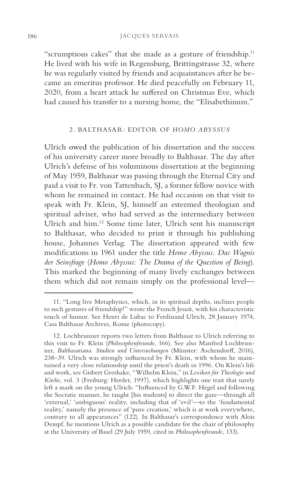"scrumptious cakes" that she made as a gesture of friendship.<sup>11</sup> He lived with his wife in Regensburg, Brittingstrasse 32, where he was regularly visited by friends and acquaintances after he became an emeritus professor. He died peacefully on February 11, 2020, from a heart attack he suffered on Christmas Eve, which had caused his transfer to a nursing home, the "Elisabethinum."

# 2. BALTHASAR: EDITOR OF *HOMO ABYSSUS*

Ulrich owed the publication of his dissertation and the success of his university career more broadly to Balthasar. The day after Ulrich's defense of his voluminous dissertation at the beginning of May 1959, Balthasar was passing through the Eternal City and paid a visit to Fr. von Tattenbach, SJ, a former fellow novice with whom he remained in contact. He had occasion on that visit to speak with Fr. Klein, SJ, himself an esteemed theologian and spiritual adviser, who had served as the intermediary between Ulrich and him.12 Some time later, Ulrich sent his manuscript to Balthasar, who decided to print it through his publishing house, Johannes Verlag. The dissertation appeared with few modifications in 1961 under the title *Homo Abyssus. Das Wagnis der Seinsfrage* (*Homo Abyssus: The Drama of the Question of Being*). This marked the beginning of many lively exchanges between them which did not remain simply on the professional level—

<sup>11. &</sup>quot;Long live Metaphysics, which, in its spiritual depths, inclines people to such gestures of friendship!" wrote the French Jesuit, with his characteristic touch of humor. See Henri de Lubac to Ferdinand Ulrich, 28 January 1974, Casa Balthasar Archives, Rome (photocopy).

<sup>12.</sup> Lochbrunner reports two letters from Balthasar to Ulrich referring to this visit to Fr. Klein (*Philosophenfreunde*, 166). See also Manfred Lochbrunner, *Balthasariana. Studien und Untersuchungen* (Münster: Aschendorff, 2016), 238–39. Ulrich was strongly influenced by Fr. Klein, with whom he maintained a very close relationship until the priest's death in 1996. On Klein's life and work, see Gisbert Greshake, "Wilhelm Klein," in *Lexikon für Theologie und Kirche*, vol. 3 (Freiburg: Herder, 1997), which highlights one trait that surely left a mark on the young Ulrich: "Influenced by G.W.F. Hegel and following the Socratic manner, he taught [his students] to direct the gaze—through all 'external,' 'ambiguous' reality, including that of 'evil'—to the 'fundamental reality,' namely the presence of 'pure creation,' which is at work everywhere, contrary to all appearances" (122). In Balthasar's correspondence with Alois Dempf, he mentions Ulrich as a possible candidate for the chair of philosophy at the University of Basel (29 July 1959, cited in *Philosophenfreunde*, 133).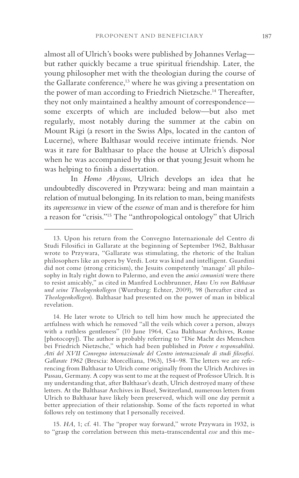almost all of Ulrich's books were published by Johannes Verlag but rather quickly became a true spiritual friendship. Later, the young philosopher met with the theologian during the course of the Gallarate conference,<sup>13</sup> where he was giving a presentation on the power of man according to Friedrich Nietzsche.14 Thereafter, they not only maintained a healthy amount of correspondence some excerpts of which are included below—but also met regularly, most notably during the summer at the cabin on Mount Rigi (a resort in the Swiss Alps, located in the canton of Lucerne), where Balthasar would receive intimate friends. Nor was it rare for Balthasar to place the house at Ulrich's disposal when he was accompanied by this or that young Jesuit whom he was helping to finish a dissertation.

In *Homo Abyssus*, Ulrich develops an idea that he undoubtedly discovered in Przywara: being and man maintain a relation of mutual belonging. In its relation to man, being manifests its *superessence* in view of the *essence* of man and is therefore for him a reason for "crisis."15 The "anthropological ontology" that Ulrich

15. *HA*, 1; cf. 41. The "proper way forward," wrote Przywara in 1932, is to "grasp the correlation between this meta-transcendental *esse* and this me-

<sup>13.</sup> Upon his return from the Convegno Internazionale del Centro di Studi Filosifici in Gallarate at the beginning of September 1962, Balthasar wrote to Przywara, "Gallarate was stimulating, the rhetoric of the Italian philosophers like an opera by Verdi. Lotz was kind and intelligent. Guardini did not come (strong criticism), the Jesuits competently 'manage' all philosophy in Italy right down to Palermo, and even the *amici comunisti* were there to resist amicably," as cited in Manfred Lochbrunner, *Hans Urs von Balthasar und seine Theologenkollegen* (Wurzburg: Echter, 2009), 98 (hereafter cited as *Theologenkollegen*). Balthasar had presented on the power of man in biblical revelation.

<sup>14.</sup> He later wrote to Ulrich to tell him how much he appreciated the artfulness with which he removed "all the veils which cover a person, always with a ruthless gentleness" (10 June 1964, Casa Balthasar Archives, Rome [photocopy]). The author is probably referring to "Die Macht des Menschen bei Friedrich Nietzsche," which had been published in *Potere e responsabilità. Atti del XVII Convegno internazionale del Centro internazionale di studi filosofici. Gallarate 1962* (Brescia: Morcelliana, 1963), 154–98. The letters we are referencing from Balthasar to Ulrich come originally from the Ulrich Archives in Passau, Germany. A copy was sent to me at the request of Professor Ulrich. It is my understanding that, after Balthasar's death, Ulrich destroyed many of these letters. At the Balthasar Archives in Basel, Switzerland, numerous letters from Ulrich to Balthasar have likely been preserved, which will one day permit a better appreciation of their relationship. Some of the facts reported in what follows rely on testimony that I personally received.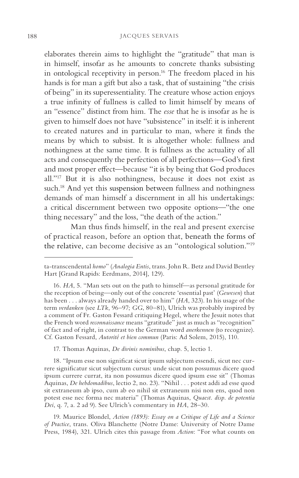elaborates therein aims to highlight the "gratitude" that man is in himself, insofar as he amounts to concrete thanks subsisting in ontological receptivity in person.16 The freedom placed in his hands is for man a gift but also a task, that of sustaining "the crisis of being" in its superessentiality. The creature whose action enjoys a true infinity of fullness is called to limit himself by means of an "essence" distinct from him. The *esse* that he is insofar as he is given to himself does not have "subsistence" in itself: it is inherent to created natures and in particular to man, where it finds the means by which to subsist. It is altogether whole: fullness and nothingness at the same time. It is fullness as the actuality of all acts and consequently the perfection of all perfections—God's first and most proper effect—because "it is by being that God produces all."17 But it is also nothingness, because it does not exist as such.<sup>18</sup> And yet this suspension between fullness and nothingness demands of man himself a discernment in all his undertakings: a critical discernment between two opposite options—"the one thing necessary" and the loss, "the death of the action."

Man thus finds himself, in the real and present exercise of practical reason, before an option that, beneath the forms of the relative, can become decisive as an "ontological solution."19

17. Thomas Aquinas, *De divinis nominibus*, chap. 5, lectio 1.

18. "Ipsum esse non significat sicut ipsum subjectum essendi, sicut nec currere significatur sicut subjectum cursus: unde sicut non possumus dicere quod ipsum currere currat, ita non possumus dicere quod ipsum esse sit" (Thomas Aquinas, *De hebdomadibus*, lectio 2, no. 23). "Nihil . . . potest addi ad esse quod sit extraneum ab ipso, cum ab eo nihil sit extraneum nisi non ens, quod non potest esse nec forma nec materia" (Thomas Aquinas, *Quaest. disp. de potentia Dei*, q. 7, a. 2 ad 9). See Ulrich's commentary in *HA*, 28–30.

19. Maurice Blondel, *Action (1893): Essay on a Critique of Life and a Science of Practice*, trans. Oliva Blanchette (Notre Dame: University of Notre Dame Press, 1984), 321. Ulrich cites this passage from *Action*: "For what counts on

ta-transcendental *homo*" (*Analogia Entis*, trans. John R. Betz and David Bentley Hart [Grand Rapids: Eerdmans, 2014], 129).

<sup>16.</sup> *HA*, 5. "Man sets out on the path to himself—as personal gratitude for the reception of being—only out of the concrete 'essential past' (*Gewesen*) that has been . . . always already handed over to him" (*HA*, 323). In his usage of the term *verdanken* (see *LTk*, 96–97; *GG*, 80–81), Ulrich was probably inspired by a comment of Fr. Gaston Fessard critiquing Hegel, where the Jesuit notes that the French word *reconnaissance* means "gratitude" just as much as "recognition" of fact and of right, in contrast to the German word *anerkennen* (to recognize). Cf. Gaston Fessard, *Autorité et bien commun* (Paris: Ad Solem, 2015), 110.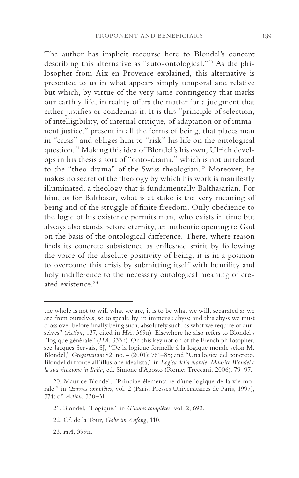The author has implicit recourse here to Blondel's concept describing this alternative as "auto-ontological."20 As the philosopher from Aix-en-Provence explained, this alternative is presented to us in what appears simply temporal and relative but which, by virtue of the very same contingency that marks our earthly life, in reality offers the matter for a judgment that either justifies or condemns it. It is this "principle of selection, of intelligibility, of internal critique, of adaptation or of immanent justice," present in all the forms of being, that places man in "crisis" and obliges him to "risk" his life on the ontological question.21 Making this idea of Blondel's his own, Ulrich develops in his thesis a sort of "onto-drama," which is not unrelated to the "theo-drama" of the Swiss theologian.<sup>22</sup> Moreover, he makes no secret of the theology by which his work is manifestly illuminated, a theology that is fundamentally Balthasarian. For him, as for Balthasar, what is at stake is the very meaning of being and of the struggle of finite freedom. Only obedience to the logic of his existence permits man, who exists in time but always also stands before eternity, an authentic opening to God on the basis of the ontological difference. There, where reason finds its concrete subsistence as enfleshed spirit by following the voice of the absolute positivity of being, it is in a position to overcome this crisis by submitting itself with humility and holy indifference to the necessary ontological meaning of created existence.<sup>23</sup>

the whole is not to will what we are, it is to be what we will, separated as we are from ourselves, so to speak, by an immense abyss; and this abyss we must cross over before finally being such, absolutely such, as what we require of ourselves" (*Action*, 137, cited in *HA*, 369n). Elsewhere he also refers to Blondel's "logique générale" (*HA*, 333n). On this key notion of the French philosopher, see Jacques Servais, SJ, "De la logique formelle à la logique morale selon M. Blondel," *Gregorianum* 82, no. 4 (2001): 761–85; and "Una logica del concreto. Blondel di fronte all'illusione idealista," in *Logica della morale. Maurice Blondel e la sua ricezione in Italia*, ed. Simone d'Agosto (Rome: Treccani, 2006), 79–97.

<sup>20.</sup> Maurice Blondel, "Principe élémentaire d'une logique de la vie morale," in *Œuvres complètes*, vol. 2 (Paris: Presses Universitaires de Paris, 1997), 374; cf. *Action*, 330–31.

<sup>21.</sup> Blondel, "Logique," in *Œuvres complètes*, vol. 2, 692.

<sup>22.</sup> Cf. de la Tour, *Gabe im Anfang*, 110.

<sup>23.</sup> *HA*, 399n.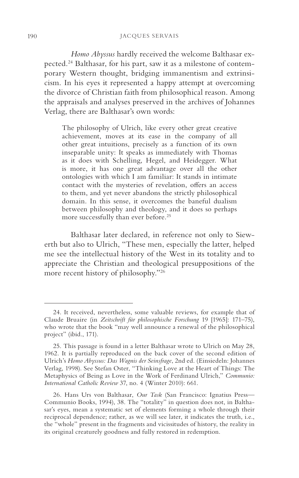*Homo Abyssus* hardly received the welcome Balthasar expected.24 Balthasar, for his part, saw it as a milestone of contemporary Western thought, bridging immanentism and extrinsicism. In his eyes it represented a happy attempt at overcoming the divorce of Christian faith from philosophical reason. Among the appraisals and analyses preserved in the archives of Johannes Verlag, there are Balthasar's own words:

The philosophy of Ulrich, like every other great creative achievement, moves at its ease in the company of all other great intuitions, precisely as a function of its own inseparable unity: It speaks as immediately with Thomas as it does with Schelling, Hegel, and Heidegger. What is more, it has one great advantage over all the other ontologies with which I am familiar: It stands in intimate contact with the mysteries of revelation, offers an access to them, and yet never abandons the strictly philosophical domain. In this sense, it overcomes the baneful dualism between philosophy and theology, and it does so perhaps more successfully than ever before.<sup>25</sup>

Balthasar later declared, in reference not only to Siewerth but also to Ulrich, "These men, especially the latter, helped me see the intellectual history of the West in its totality and to appreciate the Christian and theological presuppositions of the more recent history of philosophy."26

<sup>24.</sup> It received, nevertheless, some valuable reviews, for example that of Claude Bruaire (in *Zeitschrift für philosophische Forschung* 19 [1965]: 171–75), who wrote that the book "may well announce a renewal of the philosophical project" (ibid., 171).

<sup>25.</sup> This passage is found in a letter Balthasar wrote to Ulrich on May 28, 1962. It is partially reproduced on the back cover of the second edition of Ulrich's *Homo Abyssus: Das Wagnis der Seinsfrage*, 2nd ed. (Einsiedeln: Johannes Verlag, 1998). See Stefan Oster, "Thinking Love at the Heart of Things: The Metaphysics of Being as Love in the Work of Ferdinand Ulrich," *Communio: International Catholic Review* 37, no. 4 (Winter 2010): 661.

<sup>26.</sup> Hans Urs von Balthasar, *Our Task* (San Francisco: Ignatius Press— Communio Books, 1994), 38. The "totality" in question does not, in Balthasar's eyes, mean a systematic set of elements forming a whole through their reciprocal dependence; rather, as we will see later, it indicates the truth, i.e., the "whole" present in the fragments and vicissitudes of history, the reality in its original creaturely goodness and fully restored in redemption.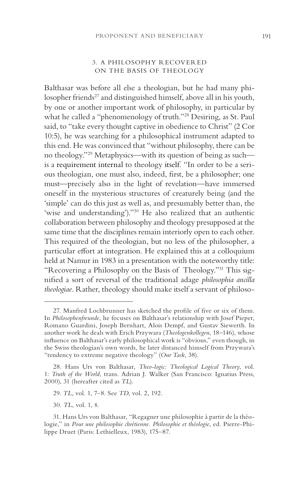#### 3. A PHILOSOPHY RECOVERED ON THE BASIS OF THEOLOGY

Balthasar was before all else a theologian, but he had many philosopher friends<sup>27</sup> and distinguished himself, above all in his youth, by one or another important work of philosophy, in particular by what he called a "phenomenology of truth."28 Desiring, as St. Paul said, to "take every thought captive in obedience to Christ" (2 Cor 10:5), he was searching for a philosophical instrument adapted to this end. He was convinced that "without philosophy, there can be no theology."29 Metaphysics—with its question of being as such is a requirement internal to theology itself. "In order to be a serious theologian, one must also, indeed, first, be a philosopher; one must—precisely also in the light of revelation—have immersed oneself in the mysterious structures of creaturely being (and the 'simple' can do this just as well as, and presumably better than, the 'wise and understanding')."30 He also realized that an authentic collaboration between philosophy and theology presupposed at the same time that the disciplines remain interiorly open to each other. This required of the theologian, but no less of the philosopher, a particular effort at integration. He explained this at a colloquium held at Namur in 1983 in a presentation with the noteworthy title: "Recovering a Philosophy on the Basis of Theology."31 This signified a sort of reversal of the traditional adage *philosophia ancilla theologiae*. Rather, theology should make itself a servant of philoso-

<sup>27.</sup> Manfred Lochbrunner has sketched the profile of five or six of them. In *Philosophenfreunde*, he focuses on Balthasar's relationship with Josef Pieper, Romano Guardini, Joseph Bernhart, Alois Dempf, and Gustav Siewerth. In another work he deals with Erich Przywara (*Theologenkollegen*, 18–146), whose influence on Balthasar's early philosophical work is "obvious," even though, in the Swiss theologian's own words, he later distanced himself from Przywara's "tendency to extreme negative theology" (*Our Task*, 38).

<sup>28.</sup> Hans Urs von Balthasar, *Theo-logic: Theological Logical Theory*, vol. 1: *Truth of the World*, trans. Adrian J. Walker (San Francisco: Ignatius Press, 2000), 31 (hereafter cited as *TL*).

<sup>29.</sup> *TL*, vol. 1, 7–8. See *TD*, vol. 2, 192.

<sup>30.</sup> *TL*, vol. 1, 8.

<sup>31.</sup> Hans Urs von Balthasar, "Regagner une philosophie à partir de la théologie," in *Pour une philosophie chrétienne. Philosophie et théologie*, ed. Pierre-Philippe Druet (Paris: Lethielleux, 1983), 175–87.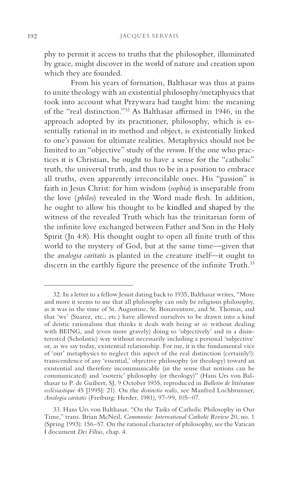phy to permit it access to truths that the philosopher, illuminated by grace, might discover in the world of nature and creation upon which they are founded.

From his years of formation, Balthasar was thus at pains to unite theology with an existential philosophy/metaphysics that took into account what Przywara had taught him: the meaning of the "real distinction."32 As Balthasar affirmed in 1946, in the approach adopted by its practitioner, philosophy, which is essentially rational in its method and object, is existentially linked to one's passion for ultimate realities. Metaphysics should not be limited to an "objective" study of the *verum*. If the one who practices it is Christian, he ought to have a sense for the "catholic" truth, the universal truth, and thus to be in a position to embrace all truths, even apparently irreconcilable ones. His "passion" is faith in Jesus Christ: for him wisdom (*sophia*) is inseparable from the love (*philos*) revealed in the Word made flesh. In addition, he ought to allow his thought to be kindled and shaped by the witness of the revealed Truth which has the trinitarian form of the infinite love exchanged between Father and Son in the Holy Spirit (Jn 4:8). His thought ought to open all finite truth of this world to the mystery of God, but at the same time—given that the *analogia caritatis* is planted in the creature itself—it ought to discern in the earthly figure the presence of the infinite Truth.<sup>33</sup>

<sup>32.</sup> In a letter to a fellow Jesuit dating back to 1935, Balthasar writes, "More and more it seems to me that all philosophy can only be religious philosophy, as it was in the time of St. Augustine, St. Bonaventure, and St. Thomas, and that 'we' (Suarez, etc., etc.) have allowed ourselves to be drawn into a kind of deistic rationalism that thinks it deals with being *ut sic* without dealing with BEING, and (even more gravely) doing so 'objectively' and in a disinterested (Scholastic) way without necessarily including a personal 'subjective' or, as we say today, existential relationship. For me, it is the fundamental vice of 'our' metaphysics to neglect this aspect of the real distinction (certainly!): transcendence of any 'essential,' objective philosophy (or theology) toward an existential and therefore incommunicable (in the sense that notions can be communicated) and 'esoteric' philosophy (or theology)" (Hans Urs von Balthasar to P. de Guibert, SJ, 9 October 1935, reproduced in *Bulletin de littérature ecclésiastique* 45 [1995]: 21). On the *distinctio realis*, see Manfred Lochbrunner, *Analogia caritatis* (Freiburg: Herder, 1981), 97–99, 105–07.

<sup>33.</sup> Hans Urs von Balthasar, "On the Tasks of Catholic Philosophy in Our Time," trans. Brian McNeil, *Communio: International Catholic Review* 20, no. 1 (Spring 1993): 156–57. On the rational character of philosophy, see the Vatican I document *Dei Filius*, chap. 4.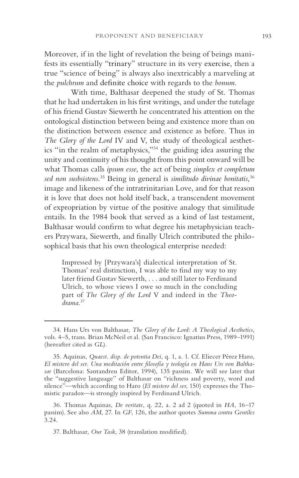Moreover, if in the light of revelation the being of beings manifests its essentially "trinary" structure in its very exercise, then a true "science of being" is always also inextricably a marveling at the *pulchrum* and definite choice with regards to the *bonum*.

With time, Balthasar deepened the study of St. Thomas that he had undertaken in his first writings, and under the tutelage of his friend Gustav Siewerth he concentrated his attention on the ontological distinction between being and existence more than on the distinction between essence and existence as before. Thus in *The Glory of the Lord* IV and V, the study of theological aesthetics "in the realm of metaphysics,"34 the guiding idea assuring the unity and continuity of his thought from this point onward will be what Thomas calls *ipsum esse*, the act of being *simplex et completum sed non susbsistens*. 35 Being in general is *similitudo divinae bonitatis*, 36 image and likeness of the intratrinitarian Love, and for that reason it is love that does not hold itself back, a transcendent movement of expropriation by virtue of the positive analogy that similitude entails. In the 1984 book that served as a kind of last testament, Balthasar would confirm to what degree his metaphysician teachers Przywara, Siewerth, and finally Ulrich contributed the philosophical basis that his own theological enterprise needed:

Impressed by [Przywara's] dialectical interpretation of St. Thomas' real distinction, I was able to find my way to my later friend Gustav Siewerth, . . . and still later to Ferdinand Ulrich, to whose views I owe so much in the concluding part of *The Glory of the Lord* V and indeed in the *Theodrama*. 37

<sup>34.</sup> Hans Urs von Balthasar, *The Glory of the Lord: A Theological Aesthetics*, vols. 4–5, trans. Brian McNeil et al. (San Francisco: Ignatius Press, 1989–1991) (hereafter cited as *GL*).

<sup>35.</sup> Aquinas, *Quaest. disp. de potentia Dei*, q. 1, a. 1. Cf. Eliecer Pérez Haro, *El mistero del ser. Una meditación entre filosofía y teología en Hans Urs von Balthasar* (Barcelona: Santandreu Editor, 1994), 135 passim. We will see later that the "suggestive language" of Balthasar on "richness and poverty, word and silence"—which according to Haro (*El mistero del ser*, 150) expresses the Thomistic paradox—is strongly inspired by Ferdinand Ulrich.

<sup>36.</sup> Thomas Aquinas, *De veritate*, q. 22, a. 2 ad 2 (quoted in *HA*, 16–17 passim). See also *AM*, 27. In *GF*, 126, the author quotes *Summa contra Gentiles* 3.24.

<sup>37.</sup> Balthasar, *Our Task*, 38 (translation modified).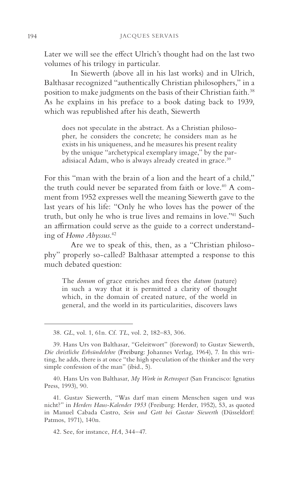Later we will see the effect Ulrich's thought had on the last two volumes of his trilogy in particular.

In Siewerth (above all in his last works) and in Ulrich, Balthasar recognized "authentically Christian philosophers," in a position to make judgments on the basis of their Christian faith.<sup>38</sup> As he explains in his preface to a book dating back to 1939, which was republished after his death, Siewerth

does not speculate in the abstract. As a Christian philosopher, he considers the concrete; he considers man as he exists in his uniqueness, and he measures his present reality by the unique "archetypical exemplary image," by the paradisiacal Adam, who is always already created in grace.<sup>39</sup>

For this "man with the brain of a lion and the heart of a child," the truth could never be separated from faith or love.<sup>40</sup> A comment from 1952 expresses well the meaning Siewerth gave to the last years of his life: "Only he who loves has the power of the truth, but only he who is true lives and remains in love."41 Such an affirmation could serve as the guide to a correct understanding of *Homo Abyssus*. 42

Are we to speak of this, then, as a "Christian philosophy" properly so-called? Balthasar attempted a response to this much debated question:

The *donum* of grace enriches and frees the *datum* (nature) in such a way that it is permitted a clarity of thought which, in the domain of created nature, of the world in general, and the world in its particularities, discovers laws

42. See, for instance, *HA*, 344–47.

<sup>38.</sup> *GL*, vol. 1, 61n. Cf. *TL*, vol. 2, 182–83, 306.

<sup>39.</sup> Hans Urs von Balthasar, "Geleitwort" (foreword) to Gustav Siewerth, *Die christliche Erbsündelehre* (Freiburg: Johannes Verlag, 1964), 7. In this writing, he adds, there is at once "the high speculation of the thinker and the very simple confession of the man" (ibid., 5).

<sup>40.</sup> Hans Urs von Balthasar, *My Work in Retrospect* (San Francisco: Ignatius Press, 1993), 90.

<sup>41.</sup> Gustav Siewerth, "Was darf man einem Menschen sagen und was nicht?" in *Herders Haus-Kalender 1953* (Freiburg: Herder, 1952), 53, as quoted in Manuel Cabada Castro, *Sein und Gott bei Gustav Siewerth* (Düsseldorf: Patmos, 1971), 140n.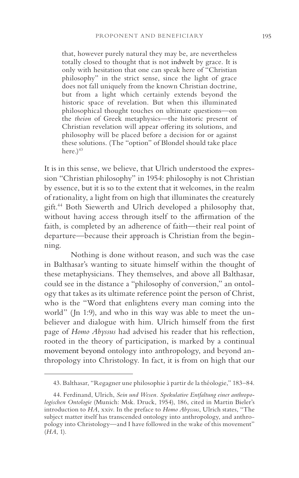that, however purely natural they may be, are nevertheless totally closed to thought that is not indwelt by grace. It is only with hesitation that one can speak here of "Christian philosophy" in the strict sense, since the light of grace does not fall uniquely from the known Christian doctrine, but from a light which certainly extends beyond the historic space of revelation. But when this illuminated philosophical thought touches on ultimate questions—on the *theion* of Greek metaphysics—the historic present of Christian revelation will appear offering its solutions, and philosophy will be placed before a decision for or against these solutions. (The "option" of Blondel should take place here. $)^{43}$ 

It is in this sense, we believe, that Ulrich understood the expression "Christian philosophy" in 1954: philosophy is not Christian by essence, but it is so to the extent that it welcomes, in the realm of rationality, a light from on high that illuminates the creaturely gift.44 Both Siewerth and Ulrich developed a philosophy that, without having access through itself to the affirmation of the faith, is completed by an adherence of faith—their real point of departure—because their approach is Christian from the beginning.

Nothing is done without reason, and such was the case in Balthasar's wanting to situate himself within the thought of these metaphysicians. They themselves, and above all Balthasar, could see in the distance a "philosophy of conversion," an ontology that takes as its ultimate reference point the person of Christ, who is the "Word that enlightens every man coming into the world" (Jn 1:9), and who in this way was able to meet the unbeliever and dialogue with him. Ulrich himself from the first page of *Homo Abyssus* had advised his reader that his reflection, rooted in the theory of participation, is marked by a continual movement beyond ontology into anthropology, and beyond anthropology into Christology. In fact, it is from on high that our

<sup>43.</sup> Balthasar, "Regagner une philosophie à partir de la théologie," 183–84.

<sup>44.</sup> Ferdinand, Ulrich, *Sein und Wesen. Spekulative Entfaltung einer anthropologischen Ontologie* (Munich: Msk. Druck, 1954), 186, cited in Martin Bieler's introduction to *HA*, xxiv. In the preface to *Homo Abyssus*, Ulrich states, "The subject matter itself has transcended ontology into anthropology, and anthropology into Christology—and I have followed in the wake of this movement" (*HA*, 1).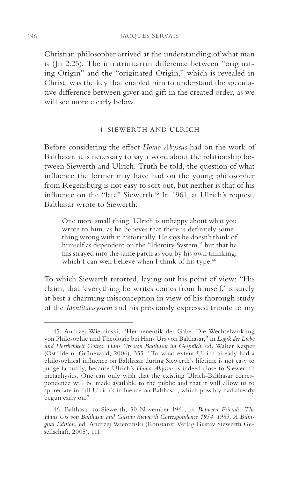Christian philosopher arrived at the understanding of what man is (Jn 2:25). The intratrinitarian difference between "originating Origin" and the "originated Origin," which is revealed in Christ, was the key that enabled him to understand the speculative difference between giver and gift in the created order, as we will see more clearly below.

# 4. SIEWERTH AND ULRICH

Before considering the effect *Homo Abyssus* had on the work of Balthasar, it is necessary to say a word about the relationship between Siewerth and Ulrich. Truth be told, the question of what influence the former may have had on the young philosopher from Regensburg is not easy to sort out, but neither is that of his influence on the "late" Siewerth.<sup>45</sup> In 1961, at Ulrich's request, Balthasar wrote to Siewerth:

One more small thing: Ulrich is unhappy about what you wrote to him, as he believes that there is definitely something wrong with it historically. He says he doesn't think of himself as dependent on the "Identity System," but that he has strayed into the same patch as you by his own thinking, which I can well believe when I think of his type.<sup>46</sup>

To which Siewerth retorted, laying out his point of view: "His claim, that 'everything he writes comes from himself,' is surely at best a charming misconception in view of his thorough study of the *Identitätssystem* and his previously expressed tribute to my

<sup>45.</sup> Andrzej Wiercinski, "Hermeneutik der Gabe. Die Wechselwirkung von Philosophie und Theologie bei Hans Urs von Balthasar," in *Logik der Liebe und Herrlichkeit Gottes. Hans Urs von Balthasar im Gespräch*, ed. Walter Kasper (Ostfildern: Grünewald, 2006), 355: "To what extent Ulrich already had a philosophical influence on Balthasar during Siewerth's lifetime is not easy to judge factually, because Ulrich's *Homo Abyssus* is indeed close to Siewerth's metaphysics. One can only wish that the existing Ulrich-Balthasar correspondence will be made available to the public and that it will allow us to appreciate in full Ulrich's influence on Balthasar, which possibly had already begun early on."

<sup>46.</sup> Balthasar to Siewerth, 30 November 1961, in *Between Friends: The Hans Urs von Balthasar and Gustav Siewerth Correspondence 1954–1963. A Bilingual Edition*, ed. Andrzej Wiercinski (Konstanz: Verlag Gustav Siewerth Gesellschaft, 2005), 111.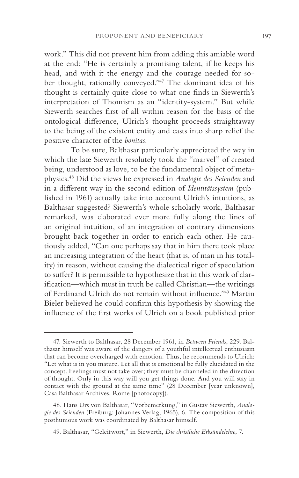work." This did not prevent him from adding this amiable word at the end: "He is certainly a promising talent, if he keeps his head, and with it the energy and the courage needed for sober thought, rationally conveyed."47 The dominant idea of his thought is certainly quite close to what one finds in Siewerth's interpretation of Thomism as an "identity-system." But while Siewerth searches first of all within reason for the basis of the ontological difference, Ulrich's thought proceeds straightaway to the being of the existent entity and casts into sharp relief the positive character of the *bonitas*.

To be sure, Balthasar particularly appreciated the way in which the late Siewerth resolutely took the "marvel" of created being, understood as love, to be the fundamental object of metaphysics.48 Did the views he expressed in *Analogie des Seienden* and in a different way in the second edition of *Identitätssystem* (published in 1961) actually take into account Ulrich's intuitions, as Balthasar suggested? Siewerth's whole scholarly work, Balthasar remarked, was elaborated ever more fully along the lines of an original intuition, of an integration of contrary dimensions brought back together in order to enrich each other. He cautiously added, "Can one perhaps say that in him there took place an increasing integration of the heart (that is, of man in his totality) in reason, without causing the dialectical rigor of speculation to suffer? It is permissible to hypothesize that in this work of clarification—which must in truth be called Christian—the writings of Ferdinand Ulrich do not remain without influence."49 Martin Bieler believed he could confirm this hypothesis by showing the influence of the first works of Ulrich on a book published prior

<sup>47.</sup> Siewerth to Balthasar, 28 December 1961, in *Between Friends*, 229. Balthasar himself was aware of the dangers of a youthful intellectual enthusiasm that can become overcharged with emotion. Thus, he recommends to Ulrich: "Let what is in you mature. Let all that is emotional be fully elucidated in the concept. Feelings must not take over; they must be channeled in the direction of thought. Only in this way will you get things done. And you will stay in contact with the ground at the same time" (28 December [year unknown], Casa Balthasar Archives, Rome [photocopy]).

<sup>48.</sup> Hans Urs von Balthasar, "Vorbemerkung," in Gustav Siewerth, *Analogie des Seienden* (Freiburg: Johannes Verlag, 1965), 6. The composition of this posthumous work was coordinated by Balthasar himself.

<sup>49.</sup> Balthasar, "Geleitwort," in Siewerth, *Die christliche Erbsündelehre*, 7.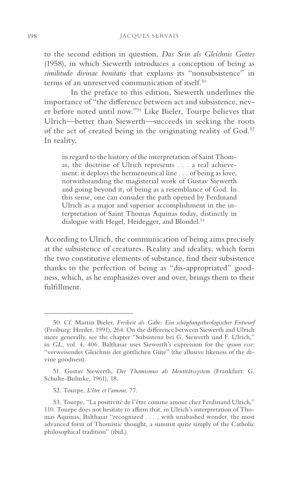to the second edition in question, *Das Sein als Gleichnis Gottes*  (1958), in which Siewerth introduces a conception of being as *similitudo divinae bonitatis* that explains its "nonsubsistence" in terms of an unreserved communication of itself.<sup>50</sup>

In the preface to this edition, Siewerth underlines the importance of "the difference between act and subsistence, never before noted until now."51 Like Bieler, Tourpe believes that Ulrich—better than Siewerth—succeeds in seeking the roots of the act of created being in the originating reality of God.52 In reality,

in regard to the history of the interpretation of Saint Thomas, the doctrine of Ulrich represents . . . a real achievement: it deploys the hermeneutical line . . . of being as love, notwithstanding the magisterial work of Gustav Siewerth and going beyond it, of being as a resemblance of God. In this sense, one can consider the path opened by Ferdinand Ulrich as a major and superior accomplishment in the interpretation of Saint Thomas Aquinas today, distinctly in dialogue with Hegel, Heidegger, and Blondel.<sup>53</sup>

According to Ulrich, the communication of being aims precisely at the subsistence of creatures. Reality and ideality, which form the two constitutive elements of substance, find their subsistence thanks to the perfection of being as "dis-appropriated" goodness, which, as he emphasizes over and over, brings them to their fulfillment.

<sup>50.</sup> Cf. Martin Bieler, *Freiheit als Gabe: Ein schöpfungstheologischer Entwurf* (Freiburg: Herder, 1991), 264. On the difference between Siewerth and Ulrich more generally, see the chapter "Subsistenz bei G. Siewerth und F. Ulrich," in *GL*, vol. 4, 406. Balthasar uses Siewerth's expression for the *ipsum esse*: "verweisendes Gleichnis der göttlichen Güte" (the allusive likeness of the divine goodness).

<sup>51.</sup> Gustav Siewerth, *Der Thomismus als Identitätssystem* (Frankfurt: G. Schulte-Bulmke, 1961), 18.

<sup>52.</sup> Tourpe, *L'être et l'amour*, 77.

<sup>53.</sup> Tourpe, "La positivité de l'être comme amour chez Ferdinand Ulrich," 110. Tourpe does not hesitate to affirm that, in Ulrich's interpretation of Thomas Aquinas, Balthasar "recognized . . . , with unabashed wonder, the most advanced form of Thomistic thought, a summit quite simply of the Catholic philosophical tradition" (ibid.).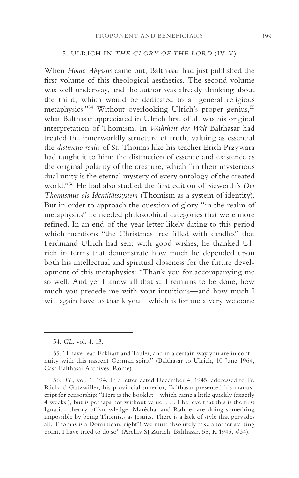# 5. ULRICH IN *THE GLORY OF THE LORD* (IV–V)

When *Homo Abyssus* came out, Balthasar had just published the first volume of this theological aesthetics. The second volume was well underway, and the author was already thinking about the third, which would be dedicated to a "general religious metaphysics."<sup>54</sup> Without overlooking Ulrich's proper genius,<sup>55</sup> what Balthasar appreciated in Ulrich first of all was his original interpretation of Thomism. In *Wahrheit der Welt* Balthasar had treated the innerworldly structure of truth, valuing as essential the *distinctio realis* of St. Thomas like his teacher Erich Przywara had taught it to him: the distinction of essence and existence as the original polarity of the creature, which "in their mysterious dual unity is the eternal mystery of every ontology of the created world."56 He had also studied the first edition of Siewerth's *Der Thomismus als Identitätssystem* (Thomism as a system of identity). But in order to approach the question of glory "in the realm of metaphysics" he needed philosophical categories that were more refined. In an end-of-the-year letter likely dating to this period which mentions "the Christmas tree filled with candles" that Ferdinand Ulrich had sent with good wishes, he thanked Ulrich in terms that demonstrate how much he depended upon both his intellectual and spiritual closeness for the future development of this metaphysics: "Thank you for accompanying me so well. And yet I know all that still remains to be done, how much you precede me with your intuitions—and how much I will again have to thank you—which is for me a very welcome

<sup>54.</sup> *GL*, vol. 4, 13.

<sup>55. &</sup>quot;I have read Eckhart and Tauler, and in a certain way you are in continuity with this nascent German spirit" (Balthasar to Ulrich, 10 June 1964, Casa Balthasar Archives, Rome).

<sup>56.</sup> *TL*, vol. 1, 194*.* In a letter dated December 4, 1945, addressed to Fr. Richard Gutzwiller, his provincial superior, Balthasar presented his manuscript for censorship: "Here is the booklet—which came a little quickly (exactly 4 weeks!), but is perhaps not without value. . . . I believe that this is the first Ignatian theory of knowledge. Maréchal and Rahner are doing something impossible by being Thomists as Jesuits. There is a lack of style that pervades all. Thomas is a Dominican, right?! We must absolutely take another starting point. I have tried to do so" (Archiv SJ Zurich, Balthasar, 58, K 1945, #34).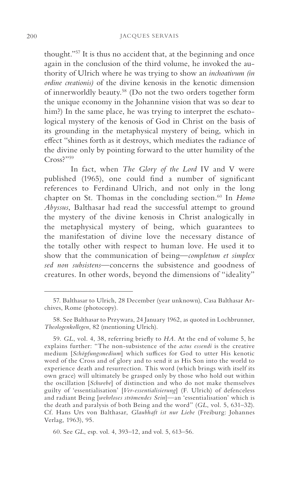thought."57 It is thus no accident that, at the beginning and once again in the conclusion of the third volume, he invoked the authority of Ulrich where he was trying to show an *inchoativum (in ordine creationis)* of the divine kenosis in the kenotic dimension of innerworldly beauty.58 (Do not the two orders together form the unique economy in the Johannine vision that was so dear to him?) In the same place, he was trying to interpret the eschatological mystery of the kenosis of God in Christ on the basis of its grounding in the metaphysical mystery of being, which in effect "shines forth as it destroys, which mediates the radiance of the divine only by pointing forward to the utter humility of the Cross?"<sup>59</sup>

In fact, when *The Glory of the Lord* IV and V were published (1965), one could find a number of significant references to Ferdinand Ulrich, and not only in the long chapter on St. Thomas in the concluding section.60 In *Homo Abyssus*, Balthasar had read the successful attempt to ground the mystery of the divine kenosis in Christ analogically in the metaphysical mystery of being, which guarantees to the manifestation of divine love the necessary distance of the totally other with respect to human love. He used it to show that the communication of being—*completum et simplex sed non subsistens*—concerns the subsistence and goodness of creatures. In other words, beyond the dimensions of "ideality"

60. See *GL*, esp. vol. 4, 393–12, and vol. 5, 613–56.

<sup>57.</sup> Balthasar to Ulrich, 28 December (year unknown), Casa Balthasar Archives, Rome (photocopy).

<sup>58.</sup> See Balthasar to Przywara, 24 January 1962, as quoted in Lochbrunner, *Theologenkollegen*, 82 (mentioning Ulrich).

<sup>59.</sup> *GL*, vol. 4, 38, referring briefly to *HA*. At the end of volume 5, he explains further: "The non-subsistence of the *actus essendi* is the creative medium [*Schöpfungsmedium*] which suffices for God to utter His kenotic word of the Cross and of glory and to send it as His Son into the world to experience death and resurrection. This word (which brings with itself its own grace) will ultimately be grasped only by those who hold out within the oscillation [*Schwebe*] of distinction and who do not make themselves guilty of 'essentialisation' [*Ver-essentialisierung*] (F. Ulrich) of defenceless and radiant Being [*wehrloses strömendes Sein*]—an 'essentialisation' which is the death and paralysis of both Being and the word" (*GL*, vol. 5, 631–32). Cf. Hans Urs von Balthasar, *Glaubhaft ist nur Liebe* (Freiburg: Johannes Verlag, 1963), 95.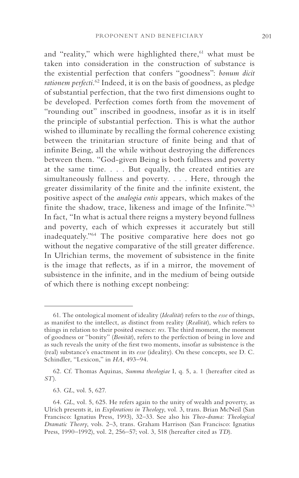and "reality," which were highlighted there,<sup>61</sup> what must be taken into consideration in the construction of substance is the existential perfection that confers "goodness": *bonum dicit rationem perfecti*. 62 Indeed, it is on the basis of goodness, as pledge of substantial perfection, that the two first dimensions ought to be developed. Perfection comes forth from the movement of "rounding out" inscribed in goodness, insofar as it is in itself the principle of substantial perfection. This is what the author wished to illuminate by recalling the formal coherence existing between the trinitarian structure of finite being and that of infinite Being, all the while without destroying the differences between them. "God-given Being is both fullness and poverty at the same time. . . . But equally, the created entities are simultaneously fullness and poverty. . . . Here, through the greater dissimilarity of the finite and the infinite existent, the positive aspect of the *analogia entis* appears, which makes of the finite the shadow, trace, likeness and image of the Infinite."63 In fact, "In what is actual there reigns a mystery beyond fullness and poverty, each of which expresses it accurately but still inadequately."64 The positive comparative here does not go without the negative comparative of the still greater difference. In Ulrichian terms, the movement of subsistence in the finite is the image that reflects, as if in a mirror, the movement of subsistence in the infinite, and in the medium of being outside of which there is nothing except nonbeing:

<sup>61.</sup> The ontological moment of ideality (*Idealität*) refers to the *esse* of things, as manifest to the intellect, as distinct from reality (*Realität*), which refers to things in relation to their posited essence: *res*. The third moment, the moment of goodness or "bonity" (*Bonität*), refers to the perfection of being in love and as such reveals the unity of the first two moments, insofar as subsistence is the (real) substance's enactment in its *esse* (ideality). On these concepts, see D. C. Schindler, "Lexicon," in *HA*, 493–94.

<sup>62.</sup> Cf. Thomas Aquinas, *Summa theologiae* I, q. 5, a. 1 (hereafter cited as *ST*).

<sup>63.</sup> *GL*, vol. 5, 627.

<sup>64.</sup> *GL*, vol. 5, 625. He refers again to the unity of wealth and poverty, as Ulrich presents it, in *Explorations in Theology*, vol. 3, trans. Brian McNeil (San Francisco: Ignatius Press, 1993), 32–33. See also his *Theo-drama: Theological Dramatic Theory*, vols. 2–3, trans. Graham Harrison (San Francisco: Ignatius Press, 1990–1992), vol. 2, 256–57; vol. 3, 518 (hereafter cited as *TD*).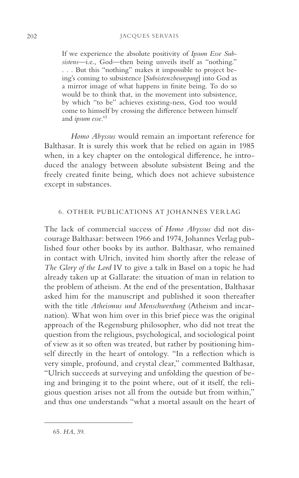If we experience the absolute positivity of *Ipsum Esse Subsistens*—i.e., God—then being unveils itself as "nothing." . . . But this "nothing" makes it impossible to project being's coming to subsistence [*Subsistenzbewegung*] into God as a mirror image of what happens in finite being. To do so would be to think that, in the movement into subsistence, by which "to be" achieves existing-ness, God too would come to himself by crossing the difference between himself and *ipsum esse*. 65

*Homo Abyssus* would remain an important reference for Balthasar. It is surely this work that he relied on again in 1985 when, in a key chapter on the ontological difference, he introduced the analogy between absolute subsistent Being and the freely created finite being, which does not achieve subsistence except in substances.

# 6. OTHER PUBLICATIONS AT JOHANNES VERLAG

The lack of commercial success of *Homo Abyssus* did not discourage Balthasar: between 1966 and 1974, Johannes Verlag published four other books by its author. Balthasar, who remained in contact with Ulrich, invited him shortly after the release of *The Glory of the Lord* IV to give a talk in Basel on a topic he had already taken up at Gallarate: the situation of man in relation to the problem of atheism. At the end of the presentation, Balthasar asked him for the manuscript and published it soon thereafter with the title *Atheismus und Menschwerdung* (Atheism and incarnation). What won him over in this brief piece was the original approach of the Regensburg philosopher, who did not treat the question from the religious, psychological, and sociological point of view as it so often was treated, but rather by positioning himself directly in the heart of ontology. "In a reflection which is very simple, profound, and crystal clear," commented Balthasar, "Ulrich succeeds at surveying and unfolding the question of being and bringing it to the point where, out of it itself, the religious question arises not all from the outside but from within," and thus one understands "what a mortal assault on the heart of

65. *HA*, 39.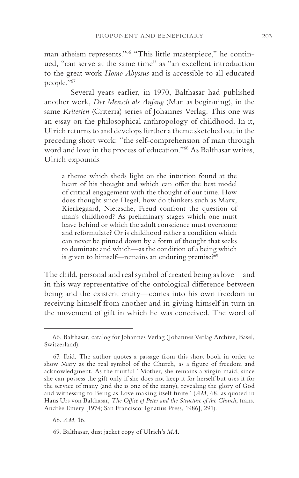man atheism represents."66 "This little masterpiece," he continued, "can serve at the same time" as "an excellent introduction to the great work *Homo Abyssus* and is accessible to all educated people."67

Several years earlier, in 1970, Balthasar had published another work, *Der Mensch als Anfang* (Man as beginning), in the same *Kriterien* (Criteria) series of Johannes Verlag. This one was an essay on the philosophical anthropology of childhood. In it, Ulrich returns to and develops further a theme sketched out in the preceding short work: "the self-comprehension of man through word and love in the process of education."68 As Balthasar writes, Ulrich expounds

a theme which sheds light on the intuition found at the heart of his thought and which can offer the best model of critical engagement with the thought of our time. How does thought since Hegel, how do thinkers such as Marx, Kierkegaard, Nietzsche, Freud confront the question of man's childhood? As preliminary stages which one must leave behind or which the adult conscience must overcome and reformulate? Or is childhood rather a condition which can never be pinned down by a form of thought that seeks to dominate and which—as the condition of a being which is given to himself—remains an enduring premise?<sup>69</sup>

The child, personal and real symbol of created being as love—and in this way representative of the ontological difference between being and the existent entity—comes into his own freedom in receiving himself from another and in giving himself in turn in the movement of gift in which he was conceived. The word of

<sup>66.</sup> Balthasar, catalog for Johannes Verlag (Johannes Verlag Archive, Basel, Switzerland).

<sup>67.</sup> Ibid. The author quotes a passage from this short book in order to show Mary as the real symbol of the Church, as a figure of freedom and acknowledgment. As the fruitful "Mother, she remains a virgin maid, since she can possess the gift only if she does not keep it for herself but uses it for the service of many (and she is one of the many), revealing the glory of God and witnessing to Being as Love making itself finite" (*AM*, 68, as quoted in Hans Urs von Balthasar, *The Office of Peter and the Structure of the Church*, trans. Andrée Emery [1974; San Francisco: Ignatius Press, 1986], 291).

<sup>68.</sup> *AM*, 16.

<sup>69.</sup> Balthasar, dust jacket copy of Ulrich's *MA*.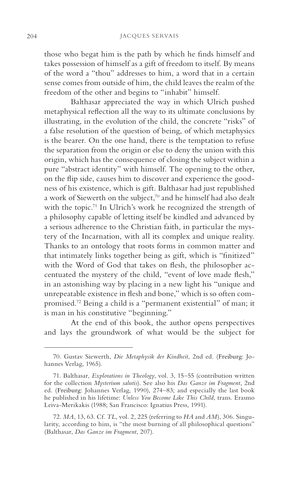those who begat him is the path by which he finds himself and takes possession of himself as a gift of freedom to itself. By means of the word a "thou" addresses to him, a word that in a certain sense comes from outside of him, the child leaves the realm of the freedom of the other and begins to "inhabit" himself.

Balthasar appreciated the way in which Ulrich pushed metaphysical reflection all the way to its ultimate conclusions by illustrating, in the evolution of the child, the concrete "risks" of a false resolution of the question of being, of which metaphysics is the bearer. On the one hand, there is the temptation to refuse the separation from the origin or else to deny the union with this origin, which has the consequence of closing the subject within a pure "abstract identity" with himself. The opening to the other, on the flip side, causes him to discover and experience the goodness of his existence, which is gift. Balthasar had just republished a work of Siewerth on the subject,70 and he himself had also dealt with the topic.<sup>71</sup> In Ulrich's work he recognized the strength of a philosophy capable of letting itself be kindled and advanced by a serious adherence to the Christian faith, in particular the mystery of the Incarnation, with all its complex and unique reality. Thanks to an ontology that roots forms in common matter and that intimately links together being as gift, which is "finitized" with the Word of God that takes on flesh, the philosopher accentuated the mystery of the child, "event of love made flesh," in an astonishing way by placing in a new light his "unique and unrepeatable existence in flesh and bone," which is so often compromised.72 Being a child is a "permanent existential" of man; it is man in his constitutive "beginning."

At the end of this book, the author opens perspectives and lays the groundwork of what would be the subject for

<sup>70.</sup> Gustav Siewerth, *Die Metaphysik der Kindheit*, 2nd ed. (Freiburg: Johannes Verlag, 1965).

<sup>71.</sup> Balthasar, *Explorations in Theology*, vol. 3, 15–55 (contribution written for the collection *Mysterium salutis*). See also his *Das Ganze im Fragment*, 2nd ed. (Freiburg: Johannes Verlag, 1990), 274–83; and especially the last book he published in his lifetime: *Unless You Become Like This Child*, trans. Erasmo Leiva-Merikakis (1988; San Francisco: Ignatius Press, 1991).

<sup>72.</sup> *MA*, 13, 63. Cf. *TL*, vol. 2, 225 (referring to *HA* and *AM*), 306. Singularity, according to him, is "the most burning of all philosophical questions" (Balthasar, *Das Ganze im Fragment*, 207).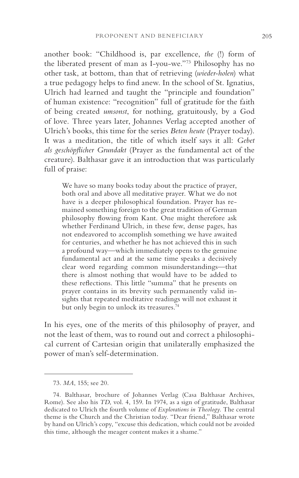another book: "Childhood is, par excellence, *the* (!) form of the liberated present of man as I-you-we."73 Philosophy has no other task, at bottom, than that of retrieving (*wieder-holen*) what a true pedagogy helps to find anew. In the school of St. Ignatius, Ulrich had learned and taught the "principle and foundation" of human existence: "recognition" full of gratitude for the faith of being created *umsonst*, for nothing, gratuitously, by a God of love. Three years later, Johannes Verlag accepted another of Ulrich's books, this time for the series *Beten heute* (Prayer today). It was a meditation, the title of which itself says it all: *Gebet als geschöpflicher Grundakt* (Prayer as the fundamental act of the creature). Balthasar gave it an introduction that was particularly full of praise:

We have so many books today about the practice of prayer, both oral and above all meditative prayer. What we do not have is a deeper philosophical foundation. Prayer has remained something foreign to the great tradition of German philosophy flowing from Kant. One might therefore ask whether Ferdinand Ulrich, in these few, dense pages, has not endeavored to accomplish something we have awaited for centuries, and whether he has not achieved this in such a profound way—which immediately opens to the genuine fundamental act and at the same time speaks a decisively clear word regarding common misunderstandings—that there is almost nothing that would have to be added to these reflections. This little "summa" that he presents on prayer contains in its brevity such permanently valid insights that repeated meditative readings will not exhaust it but only begin to unlock its treasures.<sup>74</sup>

In his eyes, one of the merits of this philosophy of prayer, and not the least of them, was to round out and correct a philosophical current of Cartesian origin that unilaterally emphasized the power of man's self-determination.

<sup>73.</sup> *MA*, 155; see 20.

<sup>74.</sup> Balthasar, brochure of Johannes Verlag (Casa Balthasar Archives, Rome). See also his *TD*, vol. 4, 159. In 1974, as a sign of gratitude, Balthasar dedicated to Ulrich the fourth volume of *Explorations in Theology*. The central theme is the Church and the Christian today. "Dear friend," Balthasar wrote by hand on Ulrich's copy, "excuse this dedication, which could not be avoided this time, although the meager content makes it a shame."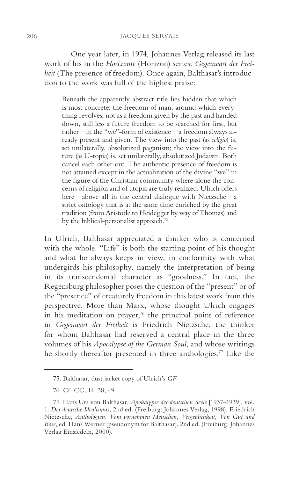One year later, in 1974, Johannes Verlag released its last work of his in the *Horizonte* (Horizon) series: *Gegenwart der Freiheit* (The presence of freedom). Once again, Balthasar's introduction to the work was full of the highest praise:

Beneath the apparently abstract title lies hidden that which is most concrete: the freedom of man, around which everything revolves, not as a freedom given by the past and handed down, still less a future freedom to be searched for first, but rather—in the "we"-form of existence—a freedom always already present and given. The view into the past (as *religio*) is, set unilaterally, absolutized paganism; the view into the future (as U-topia) is, set unilaterally, absolutized Judaism. Both cancel each other out. The authentic presence of freedom is not attained except in the actualization of the divine "we" in the figure of the Christian community where alone the concerns of religion and of utopia are truly realized. Ulrich offers here—above all in the central dialogue with Nietzsche—a strict ontology that is at the same time enriched by the great tradition (from Aristotle to Heidegger by way of Thomas) and by the biblical-personalist approach.75

In Ulrich, Balthasar appreciated a thinker who is concerned with the whole. "Life" is both the starting point of his thought and what he always keeps in view, in conformity with what undergirds his philosophy, namely the interpretation of being in its transcendental character as "goodness." In fact, the Regensburg philosopher poses the question of the "present" or of the "presence" of creaturely freedom in this latest work from this perspective. More than Marx, whose thought Ulrich engages in his meditation on prayer, $76$  the principal point of reference in *Gegenwart der Freiheit* is Friedrich Nietzsche, the thinker for whom Balthasar had reserved a central place in the three volumes of his *Apocalypse of the German Soul*, and whose writings he shortly thereafter presented in three anthologies.77 Like the

<sup>75.</sup> Balthasar, dust jacket copy of Ulrich's *GF*.

<sup>76.</sup> Cf. *GG*, 14, 38, 49.

<sup>77.</sup> Hans Urs von Balthasar, *Apokalypse der deutschen Seele* [1937–1939], vol. 1: *Der deutsche Idealismus*, 2nd ed. (Freiburg: Johannes Verlag, 1998). Friedrich Nietzsche, *Anthologien. Vom vornehmen Menschen, Vergeblichkeit, Von Gut und Böse*, ed. Hans Werner [pseudonym for Balthasar], 2nd ed. (Freiburg: Johannes Verlag Einsiedeln, 2000).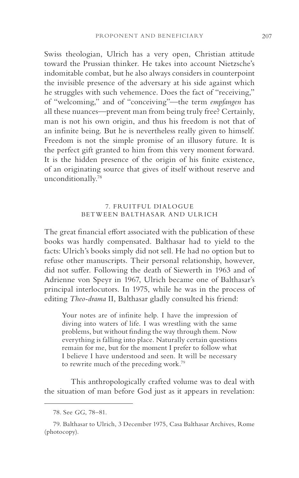Swiss theologian, Ulrich has a very open, Christian attitude toward the Prussian thinker. He takes into account Nietzsche's indomitable combat, but he also always considers in counterpoint the invisible presence of the adversary at his side against which he struggles with such vehemence. Does the fact of "receiving," of "welcoming," and of "conceiving"—the term *empfangen* has all these nuances—prevent man from being truly free? Certainly, man is not his own origin, and thus his freedom is not that of an infinite being. But he is nevertheless really given to himself. Freedom is not the simple promise of an illusory future. It is the perfect gift granted to him from this very moment forward. It is the hidden presence of the origin of his finite existence, of an originating source that gives of itself without reserve and unconditionally.78

# 7. FRUITFUL DIALOGUE BETWEEN BALTHASAR AND ULRICH

The great financial effort associated with the publication of these books was hardly compensated. Balthasar had to yield to the facts: Ulrich's books simply did not sell. He had no option but to refuse other manuscripts. Their personal relationship, however, did not suffer. Following the death of Siewerth in 1963 and of Adrienne von Speyr in 1967, Ulrich became one of Balthasar's principal interlocutors. In 1975, while he was in the process of editing *Theo-drama* II, Balthasar gladly consulted his friend:

Your notes are of infinite help. I have the impression of diving into waters of life. I was wrestling with the same problems, but without finding the way through them. Now everything is falling into place. Naturally certain questions remain for me, but for the moment I prefer to follow what I believe I have understood and seen. It will be necessary to rewrite much of the preceding work.79

This anthropologically crafted volume was to deal with the situation of man before God just as it appears in revelation:

<sup>78.</sup> See *GG*, 78–81.

<sup>79.</sup> Balthasar to Ulrich, 3 December 1975, Casa Balthasar Archives, Rome (photocopy).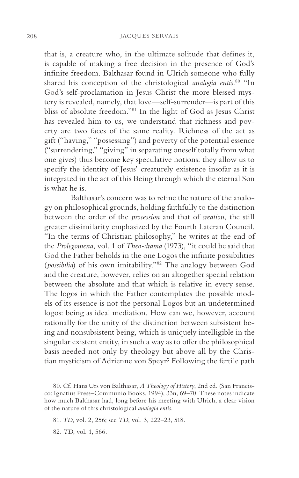that is, a creature who, in the ultimate solitude that defines it, is capable of making a free decision in the presence of God's infinite freedom. Balthasar found in Ulrich someone who fully shared his conception of the christological *analogia entis*. 80 "In God's self-proclamation in Jesus Christ the more blessed mystery is revealed, namely, that love—self-surrender—is part of this bliss of absolute freedom."81 In the light of God as Jesus Christ has revealed him to us, we understand that richness and poverty are two faces of the same reality. Richness of the act as gift ("having," "possessing") and poverty of the potential essence ("surrendering," "giving" in separating oneself totally from what one gives) thus become key speculative notions: they allow us to specify the identity of Jesus' creaturely existence insofar as it is integrated in the act of this Being through which the eternal Son is what he is.

Balthasar's concern was to refine the nature of the analogy on philosophical grounds, holding faithfully to the distinction between the order of the *procession* and that of *creation*, the still greater dissimilarity emphasized by the Fourth Lateran Council. "In the terms of Christian philosophy," he writes at the end of the *Prolegomena*, vol. 1 of *Theo-drama* (1973), "it could be said that God the Father beholds in the one Logos the infinite possibilities (*possibilia*) of his own imitability."82 The analogy between God and the creature, however, relies on an altogether special relation between the absolute and that which is relative in every sense. The logos in which the Father contemplates the possible models of its essence is not the personal Logos but an undetermined logos: being as ideal mediation. How can we, however, account rationally for the unity of the distinction between subsistent being and nonsubsistent being, which is uniquely intelligible in the singular existent entity, in such a way as to offer the philosophical basis needed not only by theology but above all by the Christian mysticism of Adrienne von Speyr? Following the fertile path

<sup>80.</sup> Cf. Hans Urs von Balthasar, *A Theology of History*, 2nd ed. (San Francisco: Ignatius Press–Communio Books, 1994), 33n, 69–70. These notes indicate how much Balthasar had, long before his meeting with Ulrich, a clear vision of the nature of this christological *analogia entis*.

<sup>81.</sup> *TD*, vol. 2, 256; see *TD*, vol. 3, 222–23, 518.

<sup>82.</sup> *TD*, vol. 1, 566.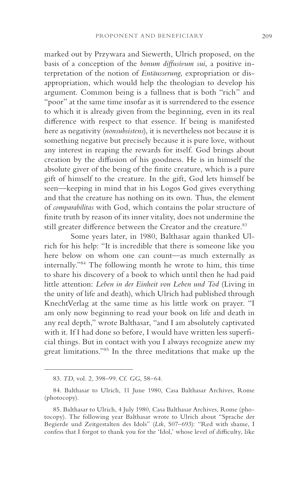marked out by Przywara and Siewerth, Ulrich proposed, on the basis of a conception of the *bonum diffusivum sui*, a positive interpretation of the notion of *Entäusserung*, expropriation or disappropriation, which would help the theologian to develop his argument. Common being is a fullness that is both "rich" and "poor" at the same time insofar as it is surrendered to the essence to which it is already given from the beginning, even in its real difference with respect to that essence. If being is manifested here as negativity (*nonsubsistens*), it is nevertheless not because it is something negative but precisely because it is pure love, without any interest in reaping the rewards for itself. God brings about creation by the diffusion of his goodness. He is in himself the absolute giver of the being of the finite creature, which is a pure gift of himself to the creature. In the gift, God lets himself be seen—keeping in mind that in his Logos God gives everything and that the creature has nothing on its own. Thus, the element of *comparabilitas* with God, which contains the polar structure of finite truth by reason of its inner vitality, does not undermine the still greater difference between the Creator and the creature.<sup>83</sup>

Some years later, in 1980, Balthasar again thanked Ulrich for his help: "It is incredible that there is someone like you here below on whom one can count—as much externally as internally."84 The following month he wrote to him, this time to share his discovery of a book to which until then he had paid little attention: *Leben in der Einheit von Leben und Tod* (Living in the unity of life and death), which Ulrich had published through KnechtVerlag at the same time as his little work on prayer. "I am only now beginning to read your book on life and death in any real depth," wrote Balthasar, "and I am absolutely captivated with it. If I had done so before, I would have written less superficial things. But in contact with you I always recognize anew my great limitations."85 In the three meditations that make up the

<sup>83.</sup> *TD*, vol. 2, 398–99. Cf. *GG*, 58–64.

<sup>84.</sup> Balthasar to Ulrich, 11 June 1980, Casa Balthasar Archives, Rome (photocopy).

<sup>85.</sup> Balthasar to Ulrich, 4 July 1980, Casa Balthasar Archives, Rome (photocopy). The following year Balthasar wrote to Ulrich about "Sprache der Begierde und Zeitgestalten des Idols" (*Ltk*, 507–693): "Red with shame, I confess that I forgot to thank you for the 'Idol,' whose level of difficulty, like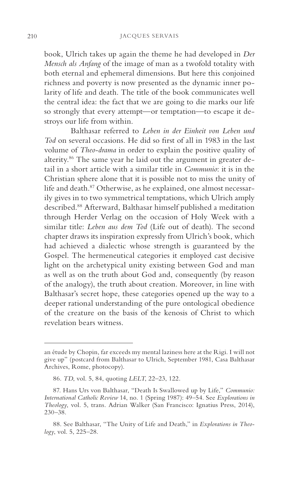book, Ulrich takes up again the theme he had developed in *Der Mensch als Anfang* of the image of man as a twofold totality with both eternal and ephemeral dimensions. But here this conjoined richness and poverty is now presented as the dynamic inner polarity of life and death. The title of the book communicates well the central idea: the fact that we are going to die marks our life so strongly that every attempt—or temptation—to escape it destroys our life from within.

Balthasar referred to *Leben in der Einheit von Leben und Tod* on several occasions. He did so first of all in 1983 in the last volume of *Theo-drama* in order to explain the positive quality of alterity.86 The same year he laid out the argument in greater detail in a short article with a similar title in *Communio*: it is in the Christian sphere alone that it is possible not to miss the unity of life and death.<sup>87</sup> Otherwise, as he explained, one almost necessarily gives in to two symmetrical temptations, which Ulrich amply described.88 Afterward, Balthasar himself published a meditation through Herder Verlag on the occasion of Holy Week with a similar title: *Leben aus dem Tod* (Life out of death). The second chapter draws its inspiration expressly from Ulrich's book, which had achieved a dialectic whose strength is guaranteed by the Gospel. The hermeneutical categories it employed cast decisive light on the archetypical unity existing between God and man as well as on the truth about God and, consequently (by reason of the analogy), the truth about creation. Moreover, in line with Balthasar's secret hope, these categories opened up the way to a deeper rational understanding of the pure ontological obedience of the creature on the basis of the kenosis of Christ to which revelation bears witness.

an étude by Chopin, far exceeds my mental laziness here at the Rigi. I will not give up" (postcard from Balthasar to Ulrich, September 1981, Casa Balthasar Archives, Rome, photocopy).

<sup>86.</sup> *TD*, vol. 5, 84, quoting *LELT*, 22–23, 122.

<sup>87.</sup> Hans Urs von Balthasar, "Death Is Swallowed up by Life," *Communio: International Catholic Review* 14, no. 1 (Spring 1987): 49–54. See *Explorations in Theology*, vol. 5, trans. Adrian Walker (San Francisco: Ignatius Press, 2014), 230–38.

<sup>88.</sup> See Balthasar, "The Unity of Life and Death," in *Explorations in Theology*, vol. 5, 225–28.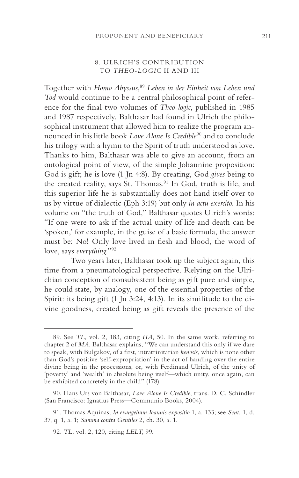#### 8. ULRICH'S CONTRIBUTION TO *THEO-LOGIC* II AND III

Together with *Homo Abyssus*, <sup>89</sup> *Leben in der Einheit von Leben und Tod* would continue to be a central philosophical point of reference for the final two volumes of *Theo-logic*, published in 1985 and 1987 respectively. Balthasar had found in Ulrich the philosophical instrument that allowed him to realize the program announced in his little book *Love Alone Is Credible*90 and to conclude his trilogy with a hymn to the Spirit of truth understood as love. Thanks to him, Balthasar was able to give an account, from an ontological point of view, of the simple Johannine proposition: God is gift; he is love (1 Jn 4:8). By creating, God *gives* being to the created reality, says St. Thomas.<sup>91</sup> In God, truth is life, and this superior life he is substantially does not hand itself over to us by virtue of dialectic (Eph 3:19) but only *in actu exercito*. In his volume on "the truth of God," Balthasar quotes Ulrich's words: "If one were to ask if the actual unity of life and death can be 'spoken,' for example, in the guise of a basic formula, the answer must be: No! Only love lived in flesh and blood, the word of love, says *everything*."92

Two years later, Balthasar took up the subject again, this time from a pneumatological perspective. Relying on the Ulrichian conception of nonsubsistent being as gift pure and simple, he could state, by analogy, one of the essential properties of the Spirit: its being gift (1 Jn 3:24, 4:13). In its similitude to the divine goodness, created being as gift reveals the presence of the

<sup>89.</sup> See *TL*, vol. 2, 183, citing *HA*, 50. In the same work, referring to chapter 2 of *MA*, Balthasar explains, "We can understand this only if we dare to speak, with Bulgakov, of a first, intratrinitarian *kenosis*, which is none other than God's positive 'self-expropriation' in the act of handing over the entire divine being in the processions, or, with Ferdinand Ulrich, of the unity of 'poverty' and 'wealth' in absolute being itself—which unity, once again, can be exhibited concretely in the child" (178).

<sup>90.</sup> Hans Urs von Balthasar, *Love Alone Is Credible*, trans. D. C. Schindler (San Francisco: Ignatius Press—Communio Books, 2004).

<sup>91.</sup> Thomas Aquinas, *In evangelium Ioannis expositio* 1, a. 133; see *Sent.* 1, d. 37, q. 1, a. 1; *Summa contra Gentiles* 2, ch. 30, a. 1.

<sup>92.</sup> *TL*, vol. 2, 120, citing *LELT*, 99.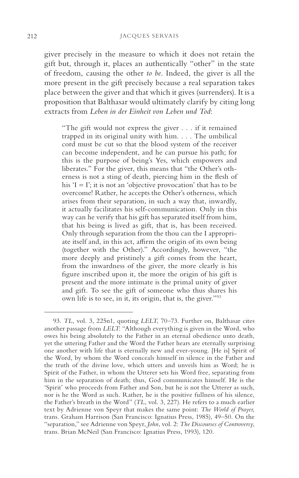giver precisely in the measure to which it does not retain the gift but, through it, places an authentically "other" in the state of freedom, causing the other *to be*. Indeed, the giver is all the more present in the gift precisely because a real separation takes place between the giver and that which it gives (surrenders). It is a proposition that Balthasar would ultimately clarify by citing long extracts from *Leben in der Einheit von Leben und Tod*:

"The gift would not express the giver . . . if it remained trapped in its original unity with him. . . . The umbilical cord must be cut so that the blood system of the receiver can become independent, and he can pursue his path; for this is the purpose of being's Yes, which empowers and liberates." For the giver, this means that "the Other's otherness is not a sting of death, piercing him in the flesh of his  $I = I'$ ; it is not an 'objective provocation' that has to be overcome! Rather, he accepts the Other's otherness, which arises from their separation, in such a way that, inwardly, it actually facilitates his self-communication. Only in this way can he verify that his gift has separated itself from him, that his being is lived as gift, that is, has been received. Only through separation from the thou can the I appropriate itself and, in this act, affirm the origin of its own being (together with the Other)." Accordingly, however, "the more deeply and pristinely a gift comes from the heart, from the inwardness of the giver, the more clearly is his figure inscribed upon it, the more the origin of his gift is present and the more intimate is the primal unity of giver and gift. To see the gift of someone who thus shares his own life is to see, in it, its origin, that is, the giver."93

<sup>93.</sup> *TL*, vol. 3, 225n1, quoting *LELT*, 70–73. Further on, Balthasar cites another passage from *LELT*: "Although everything is given in the Word, who owes his being absolutely to the Father in an eternal obedience unto death, yet the uttering Father and the Word the Father hears are eternally surprising one another with life that is eternally new and ever-young. [He is] Spirit of the Word, by whom the Word conceals himself in silence in the Father and the truth of the divine love, which utters and unveils him as Word; he is Spirit of the Father, in whom the Utterer sets his Word free, separating from him in the separation of death; thus, God communicates himself. He is the 'Spirit' who proceeds from Father and Son, but he is not the Utterer as such, nor is he the Word as such. Rather, he is the positive fullness of his silence, the Father's breath in the Word" (*TL*, vol. 3, 227). He refers to a much earlier text by Adrienne von Speyr that makes the same point: *The World of Prayer*, trans. Graham Harrison (San Francisco: Ignatius Press, 1985), 49–50. On the "separation," see Adrienne von Speyr, *John*, vol. 2: *The Discourses of Controversy*, trans. Brian McNeil (San Francisco: Ignatius Press, 1993), 120.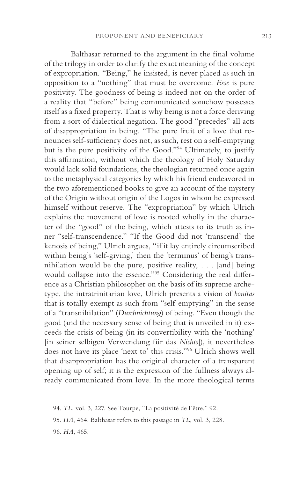Balthasar returned to the argument in the final volume of the trilogy in order to clarify the exact meaning of the concept of expropriation. "Being," he insisted, is never placed as such in opposition to a "nothing" that must be overcome. *Esse* is pure positivity. The goodness of being is indeed not on the order of a reality that "before" being communicated somehow possesses itself as a fixed property. That is why being is not a force deriving from a sort of dialectical negation. The good "precedes" all acts of disappropriation in being. "The pure fruit of a love that renounces self-sufficiency does not, as such, rest on a self-emptying but is the pure positivity of the Good."94 Ultimately, to justify this affirmation, without which the theology of Holy Saturday would lack solid foundations, the theologian returned once again to the metaphysical categories by which his friend endeavored in the two aforementioned books to give an account of the mystery of the Origin without origin of the Logos in whom he expressed himself without reserve. The "expropriation" by which Ulrich explains the movement of love is rooted wholly in the character of the "good" of the being, which attests to its truth as inner "self-transcendence." "If the Good did not 'transcend' the kenosis of being," Ulrich argues, "if it lay entirely circumscribed within being's 'self-giving,' then the 'terminus' of being's transnihilation would be the pure, positive reality, . . . [and] being would collapse into the essence."95 Considering the real difference as a Christian philosopher on the basis of its supreme archetype, the intratrinitarian love, Ulrich presents a vision of *bonitas* that is totally exempt as such from "self-emptying" in the sense of a "transnihilation" (*Durchnichtung*) of being. "Even though the good (and the necessary sense of being that is unveiled in it) exceeds the crisis of being (in its convertibility with the 'nothing' [in seiner selbigen Verwendung für das *Nichts*]), it nevertheless does not have its place 'next to' this crisis."96 Ulrich shows well that disappropriation has the original character of a transparent opening up of self; it is the expression of the fullness always already communicated from love. In the more theological terms

<sup>94.</sup> *TL*, vol. 3, 227. See Tourpe, "La positivité de l'être," 92.

<sup>95.</sup> *HA*, 464. Balthasar refers to this passage in *TL*, vol. 3, 228.

<sup>96.</sup> *HA*, 465.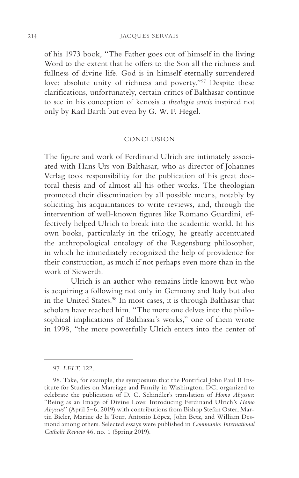of his 1973 book, "The Father goes out of himself in the living Word to the extent that he offers to the Son all the richness and fullness of divine life. God is in himself eternally surrendered love: absolute unity of richness and poverty."97 Despite these clarifications, unfortunately, certain critics of Balthasar continue to see in his conception of kenosis a *theologia crucis* inspired not only by Karl Barth but even by G. W. F. Hegel.

# CONCLUSION

The figure and work of Ferdinand Ulrich are intimately associated with Hans Urs von Balthasar, who as director of Johannes Verlag took responsibility for the publication of his great doctoral thesis and of almost all his other works. The theologian promoted their dissemination by all possible means, notably by soliciting his acquaintances to write reviews, and, through the intervention of well-known figures like Romano Guardini, effectively helped Ulrich to break into the academic world. In his own books, particularly in the trilogy, he greatly accentuated the anthropological ontology of the Regensburg philosopher, in which he immediately recognized the help of providence for their construction, as much if not perhaps even more than in the work of Siewerth.

Ulrich is an author who remains little known but who is acquiring a following not only in Germany and Italy but also in the United States.<sup>98</sup> In most cases, it is through Balthasar that scholars have reached him. "The more one delves into the philosophical implications of Balthasar's works," one of them wrote in 1998, "the more powerfully Ulrich enters into the center of

<sup>97.</sup> *LELT*, 122.

<sup>98.</sup> Take, for example, the symposium that the Pontifical John Paul II Institute for Studies on Marriage and Family in Washington, DC, organized to celebrate the publication of D. C. Schindler's translation of *Homo Abyssus*: "Being as an Image of Divine Love: Introducing Ferdinand Ulrich's *Homo Abyssus*" (April 5–6, 2019) with contributions from Bishop Stefan Oster, Martin Bieler, Marine de la Tour, Antonio López, John Betz, and William Desmond among others. Selected essays were published in *Communio: International Catholic Review* 46, no. 1 (Spring 2019).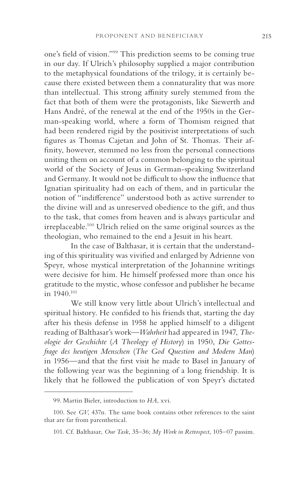one's field of vision."99 This prediction seems to be coming true in our day. If Ulrich's philosophy supplied a major contribution to the metaphysical foundations of the trilogy, it is certainly because there existed between them a connaturality that was more than intellectual. This strong affinity surely stemmed from the fact that both of them were the protagonists, like Siewerth and Hans André, of the renewal at the end of the 1950s in the German-speaking world, where a form of Thomism reigned that had been rendered rigid by the positivist interpretations of such figures as Thomas Cajetan and John of St. Thomas. Their affinity, however, stemmed no less from the personal connections uniting them on account of a common belonging to the spiritual world of the Society of Jesus in German-speaking Switzerland and Germany. It would not be difficult to show the influence that Ignatian spirituality had on each of them, and in particular the notion of "indifference" understood both as active surrender to the divine will and as unreserved obedience to the gift, and thus to the task, that comes from heaven and is always particular and irreplaceable.100 Ulrich relied on the same original sources as the theologian, who remained to the end a Jesuit in his heart.

In the case of Balthasar, it is certain that the understanding of this spirituality was vivified and enlarged by Adrienne von Speyr, whose mystical interpretation of the Johannine writings were decisive for him. He himself professed more than once his gratitude to the mystic, whose confessor and publisher he became in 1940.101

We still know very little about Ulrich's intellectual and spiritual history. He confided to his friends that, starting the day after his thesis defense in 1958 he applied himself to a diligent reading of Balthasar's work—*Wahrheit* had appeared in 1947, *Theologie der Geschichte* (*A Theology of History*) in 1950, *Die Gottesfrage des heutigen Menschen* (*The God Question and Modern Man*) in 1956—and that the first visit he made to Basel in January of the following year was the beginning of a long friendship. It is likely that he followed the publication of von Speyr's dictated

<sup>99.</sup> Martin Bieler, introduction to *HA*, xvi.

<sup>100.</sup> See *GV*, 437n. The same book contains other references to the saint that are far from parenthetical.

<sup>101.</sup> Cf. Balthasar, *Our Task*, 35–36; *My Work in Retrospect*, 105–07 passim.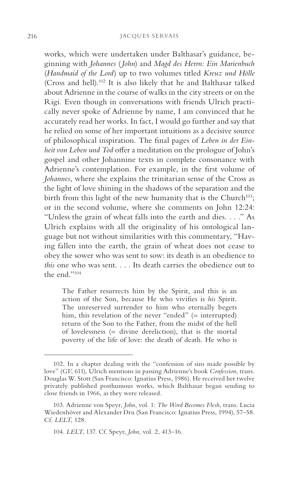works, which were undertaken under Balthasar's guidance, beginning with *Johannes* (*John*) and *Magd des Herrn: Ein Marienbuch* (*Handmaid of the Lord*) up to two volumes titled *Kreuz und Hölle*  (Cross and hell).102 It is also likely that he and Balthasar talked about Adrienne in the course of walks in the city streets or on the Rigi. Even though in conversations with friends Ulrich practically never spoke of Adrienne by name, I am convinced that he accurately read her works. In fact, I would go further and say that he relied on some of her important intuitions as a decisive source of philosophical inspiration. The final pages of *Leben in der Einheit von Leben und Tod* offer a meditation on the prologue of John's gospel and other Johannine texts in complete consonance with Adrienne's contemplation. For example, in the first volume of *Johannes*, where she explains the trinitarian sense of the Cross as the light of love shining in the shadows of the separation and the birth from this light of the new humanity that is the Church<sup>103</sup>; or in the second volume, where she comments on John 12:24: "Unless the grain of wheat falls into the earth and dies. . . ." As Ulrich explains with all the originality of his ontological language but not without similarities with this commentary, "Having fallen into the earth, the grain of wheat does not cease to obey the sower who was sent to sow: its death is an obedience to *this* one who was sent. . . . Its death carries the obedience out to the end."104

The Father resurrects him by the Spirit, and this is an action of the Son, because He who vivifies is *his* Spirit. The unreserved surrender to him who eternally begets him, this revelation of the never "ended" (= interrupted) return of the Son to the Father, from the midst of the hell of lovelessness (= divine dereliction), that is the mortal poverty of the life of love: the death of death. He who is

<sup>102.</sup> In a chapter dealing with the "confession of sins made possible by love" (*GV*, 611), Ulrich mentions in passing Adrienne's book *Confession*, trans. Douglas W. Stott (San Francisco: Ignatius Press, 1986). He received her twelve privately published posthumous works, which Balthasar began sending to close friends in 1966, as they were released.

<sup>103.</sup> Adrienne von Speyr, *John*, vol. 1: *The Word Becomes Flesh*, trans. Lucia Wiedenhöver and Alexander Dru (San Francisco: Ignatius Press, 1994), 57–58. Cf. *LELT*, 128.

<sup>104.</sup> *LELT*, 137. Cf. Speyr, *John*, vol. 2, 413–16.